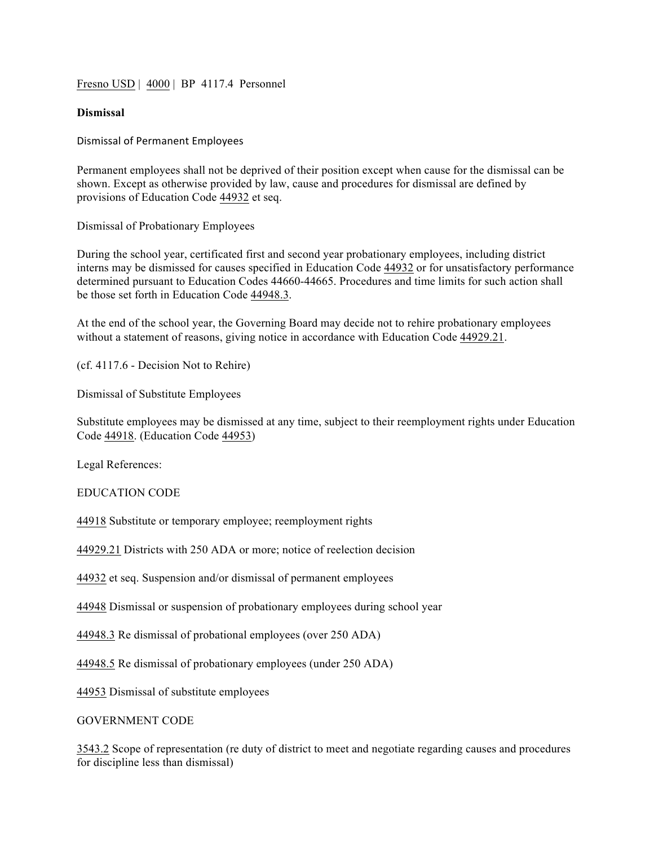Fresn<u>o USD</u> | 4000 | BP 4117.4 Personnel

## **Dismissal**

Dismissal of Permanent Employees

Permanent employees shall not be deprived of their position except when cause for the dismissal can be shown. Except as otherwise provided by law, cause and procedures for dismissal are defined by provisions of Education Code 44932 et seq.

Dismissal of Probationary Employees

During the school year, certificated first and second year probationary employees, including district interns may be dismissed for causes specified in Education Code 44932 or for unsatisfactory performance determined pursuant to Education Codes 44660-44665. Procedures and time limits for such action shall be those set forth in Education Code 44948.3.

At the end of the school year, the Governing Board may decide not to rehire probationary employees without a statement of reasons, giving notice in accordance with Education Code 44929.21.

(cf. 4117.6 - Decision Not to Rehire)

Dismissal of Substitute Employees

Substitute employees may be dismissed at any time, subject to their reemployment rights under Education Code 44918. (Education Code 44953)

Legal References:

EDUCATION CODE

44918 Substitute or temporary employee; reemployment rights

44929.21 Districts with 250 ADA or more; notice of reelection decision

44932 et seq. Suspension and/or dismissal of permanent employees

44948 Dismissal or suspension of probationary employees during school year

44948.3 Re dismissal of probational employees (over 250 ADA)

44948.5 Re dismissal of probationary employees (under 250 ADA)

44953 Dismissal of substitute employees

GOVERNMENT CODE

3543.2 Scope of representation (re duty of district to meet and negotiate regarding causes and procedures for discipline less than dismissal)